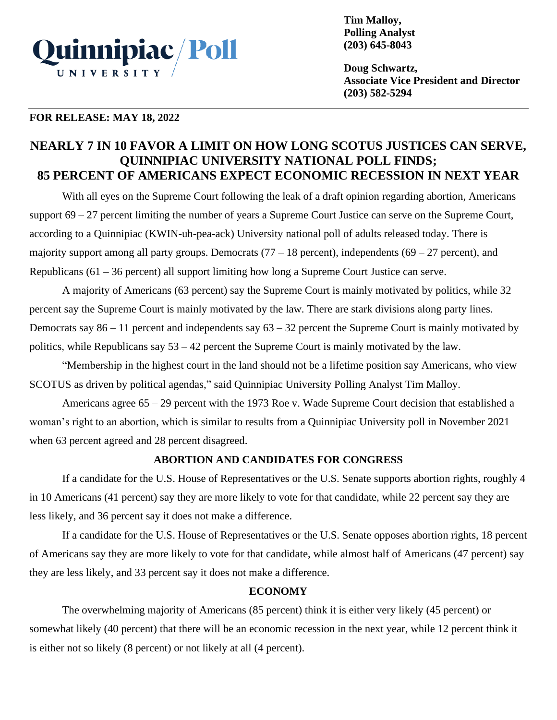

**Tim Malloy, Polling Analyst (203) 645-8043**

**Doug Schwartz, Associate Vice President and Director (203) 582-5294**

### **FOR RELEASE: MAY 18, 2022**

# **NEARLY 7 IN 10 FAVOR A LIMIT ON HOW LONG SCOTUS JUSTICES CAN SERVE, QUINNIPIAC UNIVERSITY NATIONAL POLL FINDS; 85 PERCENT OF AMERICANS EXPECT ECONOMIC RECESSION IN NEXT YEAR**

With all eyes on the Supreme Court following the leak of a draft opinion regarding abortion, Americans support 69 – 27 percent limiting the number of years a Supreme Court Justice can serve on the Supreme Court, according to a Quinnipiac (KWIN-uh-pea-ack) University national poll of adults released today. There is majority support among all party groups. Democrats  $(77 - 18$  percent), independents  $(69 - 27$  percent), and Republicans (61 – 36 percent) all support limiting how long a Supreme Court Justice can serve.

A majority of Americans (63 percent) say the Supreme Court is mainly motivated by politics, while 32 percent say the Supreme Court is mainly motivated by the law. There are stark divisions along party lines. Democrats say  $86 - 11$  percent and independents say  $63 - 32$  percent the Supreme Court is mainly motivated by politics, while Republicans say 53 – 42 percent the Supreme Court is mainly motivated by the law.

"Membership in the highest court in the land should not be a lifetime position say Americans, who view SCOTUS as driven by political agendas," said Quinnipiac University Polling Analyst Tim Malloy.

Americans agree 65 – 29 percent with the 1973 Roe v. Wade Supreme Court decision that established a woman's right to an abortion, which is similar to results from a Quinnipiac University poll in November 2021 when 63 percent agreed and 28 percent disagreed.

# **ABORTION AND CANDIDATES FOR CONGRESS**

If a candidate for the U.S. House of Representatives or the U.S. Senate supports abortion rights, roughly 4 in 10 Americans (41 percent) say they are more likely to vote for that candidate, while 22 percent say they are less likely, and 36 percent say it does not make a difference.

If a candidate for the U.S. House of Representatives or the U.S. Senate opposes abortion rights, 18 percent of Americans say they are more likely to vote for that candidate, while almost half of Americans (47 percent) say they are less likely, and 33 percent say it does not make a difference.

# **ECONOMY**

The overwhelming majority of Americans (85 percent) think it is either very likely (45 percent) or somewhat likely (40 percent) that there will be an economic recession in the next year, while 12 percent think it is either not so likely (8 percent) or not likely at all (4 percent).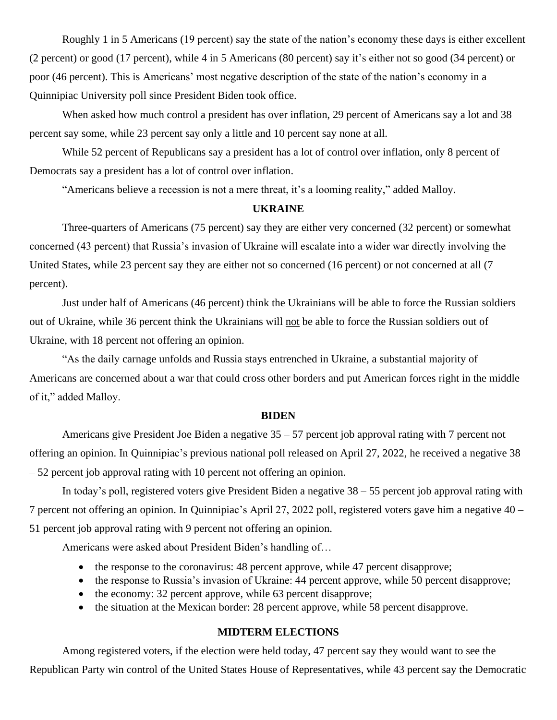Roughly 1 in 5 Americans (19 percent) say the state of the nation's economy these days is either excellent (2 percent) or good (17 percent), while 4 in 5 Americans (80 percent) say it's either not so good (34 percent) or poor (46 percent). This is Americans' most negative description of the state of the nation's economy in a Quinnipiac University poll since President Biden took office.

When asked how much control a president has over inflation, 29 percent of Americans say a lot and 38 percent say some, while 23 percent say only a little and 10 percent say none at all.

While 52 percent of Republicans say a president has a lot of control over inflation, only 8 percent of Democrats say a president has a lot of control over inflation.

"Americans believe a recession is not a mere threat, it's a looming reality," added Malloy.

#### **UKRAINE**

Three-quarters of Americans (75 percent) say they are either very concerned (32 percent) or somewhat concerned (43 percent) that Russia's invasion of Ukraine will escalate into a wider war directly involving the United States, while 23 percent say they are either not so concerned (16 percent) or not concerned at all (7 percent).

Just under half of Americans (46 percent) think the Ukrainians will be able to force the Russian soldiers out of Ukraine, while 36 percent think the Ukrainians will not be able to force the Russian soldiers out of Ukraine, with 18 percent not offering an opinion.

"As the daily carnage unfolds and Russia stays entrenched in Ukraine, a substantial majority of Americans are concerned about a war that could cross other borders and put American forces right in the middle of it," added Malloy.

#### **BIDEN**

Americans give President Joe Biden a negative 35 – 57 percent job approval rating with 7 percent not offering an opinion. In Quinnipiac's previous national poll released on April 27, 2022, he received a negative 38 – 52 percent job approval rating with 10 percent not offering an opinion.

In today's poll, registered voters give President Biden a negative 38 – 55 percent job approval rating with 7 percent not offering an opinion. In Quinnipiac's April 27, 2022 poll, registered voters gave him a negative 40 – 51 percent job approval rating with 9 percent not offering an opinion.

Americans were asked about President Biden's handling of…

- the response to the coronavirus: 48 percent approve, while 47 percent disapprove;
- the response to Russia's invasion of Ukraine: 44 percent approve, while 50 percent disapprove;
- the economy: 32 percent approve, while 63 percent disapprove;
- the situation at the Mexican border: 28 percent approve, while 58 percent disapprove.

## **MIDTERM ELECTIONS**

Among registered voters, if the election were held today, 47 percent say they would want to see the Republican Party win control of the United States House of Representatives, while 43 percent say the Democratic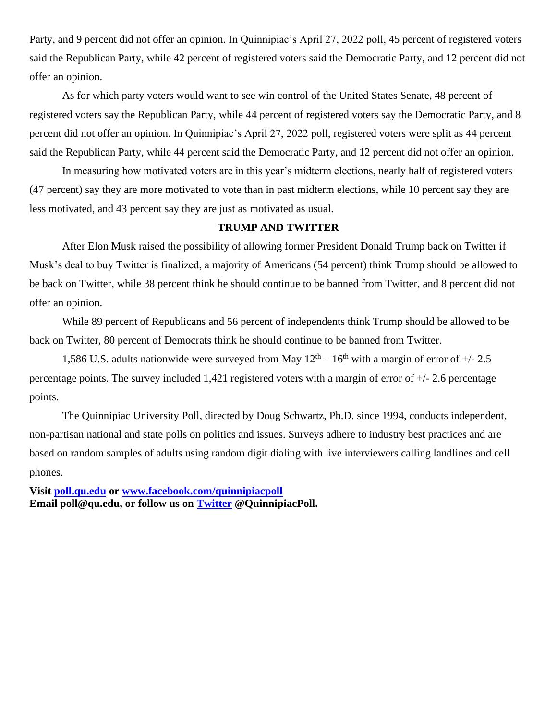Party, and 9 percent did not offer an opinion. In Quinnipiac's April 27, 2022 poll, 45 percent of registered voters said the Republican Party, while 42 percent of registered voters said the Democratic Party, and 12 percent did not offer an opinion.

As for which party voters would want to see win control of the United States Senate, 48 percent of registered voters say the Republican Party, while 44 percent of registered voters say the Democratic Party, and 8 percent did not offer an opinion. In Quinnipiac's April 27, 2022 poll, registered voters were split as 44 percent said the Republican Party, while 44 percent said the Democratic Party, and 12 percent did not offer an opinion.

In measuring how motivated voters are in this year's midterm elections, nearly half of registered voters (47 percent) say they are more motivated to vote than in past midterm elections, while 10 percent say they are less motivated, and 43 percent say they are just as motivated as usual.

# **TRUMP AND TWITTER**

After Elon Musk raised the possibility of allowing former President Donald Trump back on Twitter if Musk's deal to buy Twitter is finalized, a majority of Americans (54 percent) think Trump should be allowed to be back on Twitter, while 38 percent think he should continue to be banned from Twitter, and 8 percent did not offer an opinion.

While 89 percent of Republicans and 56 percent of independents think Trump should be allowed to be back on Twitter, 80 percent of Democrats think he should continue to be banned from Twitter.

1,586 U.S. adults nationwide were surveyed from May  $12<sup>th</sup> - 16<sup>th</sup>$  with a margin of error of  $+/- 2.5$ percentage points. The survey included 1,421 registered voters with a margin of error of +/- 2.6 percentage points.

The Quinnipiac University Poll, directed by Doug Schwartz, Ph.D. since 1994, conducts independent, non-partisan national and state polls on politics and issues. Surveys adhere to industry best practices and are based on random samples of adults using random digit dialing with live interviewers calling landlines and cell phones.

**Visit [poll.qu.edu](https://poll.qu.edu/) or [www.facebook.com/quinnipiacpoll](http://www.facebook.com/quinnipiacpoll)  Email poll@qu.edu, or follow us on [Twitter](http://twitter.com/QuinnipiacPoll) @QuinnipiacPoll.**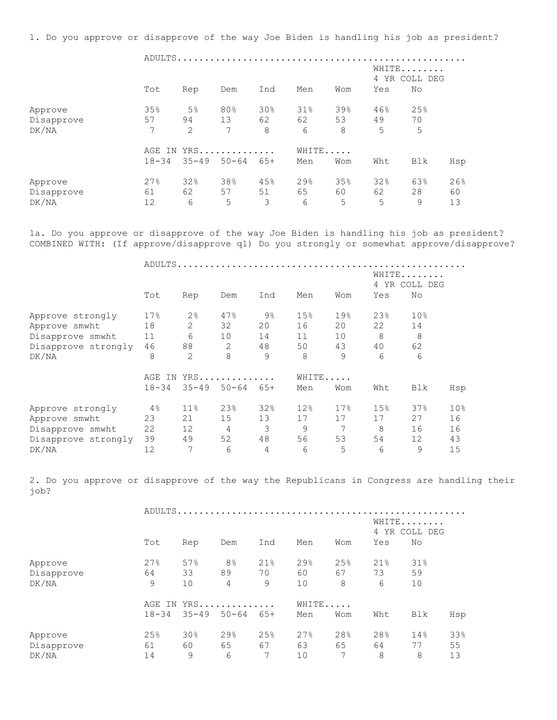1. Do you approve or disapprove of the way Joe Biden is handling his job as president?

 ADULTS..................................................... WHITE....... 4 YR COLL DEG Tot Rep Dem Ind Men Wom Yes No Approve 35% 5% 80% 30% 31% 39% 46% 25% Disapprove 57 94 13 62 62 53 49 70 DK/NA 7 2 7 8 6 8 5 5 AGE IN YRS.............. WHITE..... 18-34 35-49 50-64 65+ Men Wom Wht Blk Hsp Approve 27% 32% 38% 45% 29% 35% 32% 63% 26% Disapprove 61 62 57 51 65 60 62 28 60 DK/NA 12 6 5 3 6 5 5 9 13

1a. Do you approve or disapprove of the way Joe Biden is handling his job as president? COMBINED WITH: (If approve/disapprove q1) Do you strongly or somewhat approve/disapprove?

ADULTS.....................................................

|                     |                  |                |           |                |       |      | 4               | WHITE<br>YR COLL DEG |                 |
|---------------------|------------------|----------------|-----------|----------------|-------|------|-----------------|----------------------|-----------------|
|                     | Tot              | Rep            | Dem       | Ind            | Men   | Wom  | Yes             | No                   |                 |
| Approve strongly    | 17%              | 2 <sup>°</sup> | 47%       | $9\frac{6}{6}$ | 15%   | 19%  | 23%             | 10 <sub>8</sub>      |                 |
| Approve smwht       | 18               | 2              | 32        | 20             | 16    | 20   | 22              | 14                   |                 |
| Disapprove smwht    | 11               | 6              | 10        | 14             | 11    | 10   | 8               | 8                    |                 |
| Disapprove strongly | 46               | 88             | 2         | 48             | 50    | 43   | 40              | 62                   |                 |
| DK/NA               | 8                | $\overline{2}$ | 8         | 9              | 8     | 9    | 6               | 6                    |                 |
|                     | YRS<br>AGE<br>IN |                |           |                | WHITE |      |                 |                      |                 |
|                     | $18 - 34$        | $35 - 49$      | $50 - 64$ | $65+$          | Men   | Wom  | Wht             | Blk                  | Hsp             |
| Approve strongly    | 4%               | $11\%$         | 23%       | 32%            | 12%   | 17.8 | 15 <sub>8</sub> | 37%                  | 10 <sub>8</sub> |
| Approve smwht       | 23               | 21             | 15        | 13             | 17    | 17   | 17              | 27                   | 16              |
| Disapprove smwht    | 22               | 12             | 4         | 3              | 9     | 7    | 8               | 16                   | 16              |
| Disapprove strongly | 39               | 49             | 52        | 48             | 56    | 53   | 54              | 12                   | 43              |
| DK/NA               | 12               | 7              | 6         | 4              | 6     | 5    | 6               | 9                    | 15              |

2. Do you approve or disapprove of the way the Republicans in Congress are handling their job?

|            |           | ADULTS    |                |       |     |       |                        |        |     |  |  |  |
|------------|-----------|-----------|----------------|-------|-----|-------|------------------------|--------|-----|--|--|--|
|            |           |           |                |       |     |       | WHITE<br>4 YR COLL DEG |        |     |  |  |  |
|            | Tot       | Rep       | Dem            | Ind   | Men | Wom   | Yes                    | No     |     |  |  |  |
| Approve    | 27%       | 57%       | 8 <sup>°</sup> | 21%   | 29% | 25%   | 21%                    | $31\%$ |     |  |  |  |
| Disapprove | 64        | 33        | 89             | 70    | 60  | 67    | 73                     | 59     |     |  |  |  |
| DK/NA      | 9         | 10        | 4              | 9     | 10  | 8     | 6                      | 10     |     |  |  |  |
|            | AGE<br>IN |           | YRS            |       |     | WHITE |                        |        |     |  |  |  |
|            | $18 - 34$ | $35 - 49$ | $50 - 64$      | $65+$ | Men | Wom   | Wht                    | Blk    | Hsp |  |  |  |
| Approve    | 25%       | 30%       | 29%            | 25%   | 27% | 28%   | 28%                    | 14%    | 33% |  |  |  |
| Disapprove | 61        | 60        | 65             | 67    | 63  | 65    | 64                     | 77     | 55  |  |  |  |
| DK/NA      | 14        | 9         | 6              |       | 10  | 7     | 8                      | 8      | 13  |  |  |  |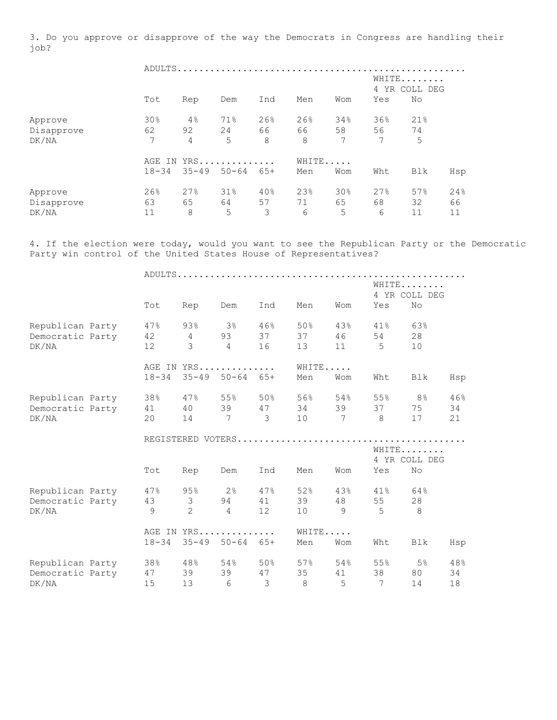3. Do you approve or disapprove of the way the Democrats in Congress are handling their job?

|            |           |                |                 | WHITE<br>4 YR COLL DEG |      |       |     |     |     |  |  |  |
|------------|-----------|----------------|-----------------|------------------------|------|-------|-----|-----|-----|--|--|--|
|            | Tot       | Rep            | Dem             | Ind                    | Men  | Wom   | Yes | No  |     |  |  |  |
| Approve    | 30%       | $4\%$          | 71%             | 26%                    | 26%  | 34%   | 36% | 21% |     |  |  |  |
| Disapprove | 62        | 92             | 24              | 66 —                   | 66 — | 58    | 56  | 74  |     |  |  |  |
| DK/NA      | 7         | $\overline{4}$ | 5               | 8                      | 8    | 7     | 7   | 5   |     |  |  |  |
|            |           |                | AGE IN YRS      |                        |      | WHITE |     |     |     |  |  |  |
|            | $18 - 34$ |                | $35 - 49$ 50-64 | 65+                    | Men  | Wom   | Wht | Blk | Hsp |  |  |  |
| Approve    | 26%       | 27%            | 31%             | 40%                    | 23%  | 30%   | 27% | 57% | 24% |  |  |  |
| Disapprove | 63        | 65             | 64              | 57                     | 71   | 65    | 68  | 32  | 66  |  |  |  |
| DK/NA      | 11        | 8              | 5               | 3                      | 6    | 5     | 6   | 11  | 11  |  |  |  |

4. If the election were today, would you want to see the Republican Party or the Democratic Party win control of the United States House of Representatives?

|                  |           |                         |                            |                |        |                | WHITE       | 4 YR COLL DEG |     |
|------------------|-----------|-------------------------|----------------------------|----------------|--------|----------------|-------------|---------------|-----|
|                  | Tot       | Rep                     | Dem                        | Ind            | Men    | Wom            | Yes         | No            |     |
| Republican Party | 47%       | 93%                     | 3%                         | 46%            | 50%    | 43%            | 41%         | 63%           |     |
| Democratic Party | 42        | $4\overline{ }$         | 93                         | 37             | 37     | 46             | 54          | 28            |     |
| DK/NA            | 12        | 3                       | $\overline{4}$             | 16             | 13     | 11             | $5^{\circ}$ | 10            |     |
|                  |           |                         | AGE IN YRS                 |                | WHITE  |                |             |               |     |
|                  | $18 - 34$ |                         | $35 - 49$ $50 - 64$ $65 +$ |                | Men    | Wom            | Wht         | Blk           | Hsp |
| Republican Party | 38%       | 47%                     | 55%                        | 50%            | 56%    | 54%            | 55%         | 8%            | 46% |
| Democratic Party | 41        | 40                      |                            | 39 47          | 34     | 39             | 37          | 75            | 34  |
| DK/NA            | 20        | 14                      | $7\overline{ }$            | $\overline{3}$ | 10     | $\overline{7}$ | - 8         | 17            | 21  |
|                  |           |                         |                            |                |        |                |             |               |     |
|                  |           |                         |                            |                |        |                | WHITE       |               |     |
|                  |           |                         |                            |                |        |                |             | 4 YR COLL DEG |     |
|                  | Tot       | Rep                     | Dem                        | Ind            | Men    | Wom            | Yes         | No            |     |
| Republican Party | 47%       | 95%                     | $2\frac{6}{5}$             | 47%            | 52%    | 43%            | $41\%$      | 64%           |     |
| Democratic Party | 43        | $\overline{\mathbf{3}}$ | 94                         | 41             | 39     | 48             | 55          | 28            |     |
| DK/NA            | 9         | 2                       | $\overline{4}$             | 12             | 10     | 9              | 5           | 8             |     |
|                  |           |                         | AGE IN YRS                 |                | WHITE  |                |             |               |     |
|                  | $18 - 34$ | $35 - 49$               | $50 - 64$                  | $65+$          | Men    | Wom            | Wht         | Blk           | Hsp |
| Republican Party | 38%       | 48%                     | 54%                        | 50%            | $57\%$ | 54%            | 55%         | 5%            | 48% |
| Democratic Party | 47        | 39                      | 39                         | 47             | 35     | 41             | 38          | 80            | 34  |
| DK/NA            | 15        | 13                      | 6                          | 3              | 8      | 5              | 7           | 14            | 18  |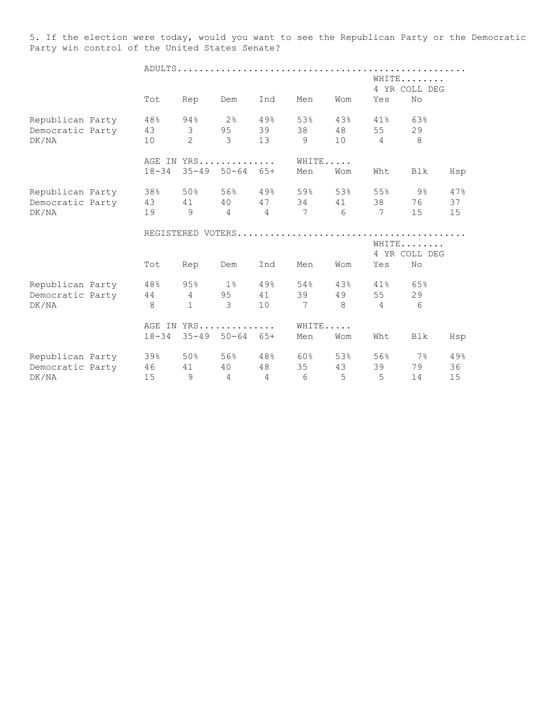5. If the election were today, would you want to see the Republican Party or the Democratic Party win control of the United States Senate?

|                  |               |                |                            |                |             |                 |                 | WHITE           |     |
|------------------|---------------|----------------|----------------------------|----------------|-------------|-----------------|-----------------|-----------------|-----|
|                  |               |                |                            |                |             |                 |                 | 4 YR COLL DEG   |     |
|                  | Tot           | Rep            | Dem                        | Ind            | Men         | Wom             | Yes             | No              |     |
| Republican Party | 48%           | 94%            | $2\,$ %                    | 49%            | 53%         | 43%             | 41%             | 63%             |     |
| Democratic Party | 43            | $\mathcal{S}$  | 95                         | 39             | 38          | 48              | 55              | 29              |     |
| DK/NA            | 10            | $\overline{2}$ | $\mathcal{E}$              | 13             | 9           | 10 <sup>1</sup> | $\overline{4}$  | 8               |     |
|                  |               |                | AGE IN YRS                 |                | WHITE       |                 |                 |                 |     |
|                  | $18 - 34$     |                | $35 - 49$ 50-64 65+        |                | Men         | Wom             | Wht             | Blk             | Hsp |
| Republican Party | 38%           | 50%            |                            | 56% 49%        | 59%         | 53%             | 55%             | $9\%$           | 47% |
| Democratic Party | 43            |                |                            |                | 41 40 47 34 | 41              | 38              | 76              | 37  |
| DK/NA            | 19            | 9              | $\overline{4}$             | $\overline{4}$ | 7           | 6               | $7\phantom{.0}$ | 15 <sub>1</sub> | 15  |
|                  |               |                |                            |                |             |                 |                 |                 |     |
|                  |               |                |                            |                |             |                 |                 | WHITE           |     |
|                  |               |                |                            |                |             |                 |                 | 4 YR COLL DEG   |     |
|                  | Tot           | Rep            | Dem                        | Ind            | Men         | Wom             | Yes             | No              |     |
| Republican Party | 48.8          | 95%            | $1\%$                      | 49%            | 54%         | 43%             | $41\%$          | 65%             |     |
| Democratic Party | 44            | $\overline{4}$ | 95                         | 41             | 39          | 49              | 55              | 29              |     |
| DK/NA            | $\mathcal{B}$ | $\mathbf{1}$   | 3                          | 10             | 7           | $\mathcal{B}$   | $\overline{4}$  | $6\overline{6}$ |     |
|                  |               |                | AGE IN YRS                 |                | WHITE       |                 |                 |                 |     |
|                  | $18 - 34$     |                | $35 - 49$ $50 - 64$ $65 +$ |                | Men         | Wom             | Wht             | <b>Blk</b>      | Hsp |
| Republican Party | 39%           | 50 %           | 56% 48%                    |                | 60%         | 53%             | 56%             | $7\%$           | 49% |
|                  |               |                |                            |                |             |                 |                 |                 |     |
| Democratic Party | 46            | 41<br>9        | 40                         | 48             | 35          | 43              | 39<br>5         | 79              | 36  |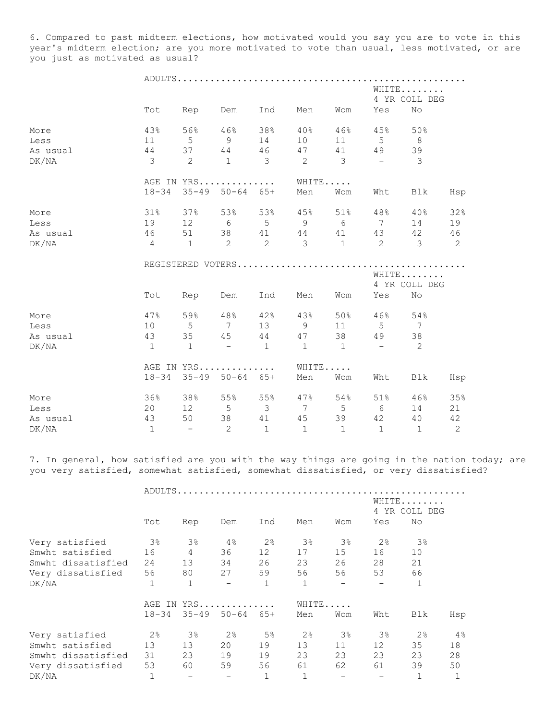6. Compared to past midterm elections, how motivated would you say you are to vote in this year's midterm election; are you more motivated to vote than usual, less motivated, or are you just as motivated as usual?

|          | WHITE<br>4 YR COLL DEG |                       |                            |                         |                     |                                                   |                |                      |                |
|----------|------------------------|-----------------------|----------------------------|-------------------------|---------------------|---------------------------------------------------|----------------|----------------------|----------------|
|          |                        | Tot Rep Dem           |                            | Ind                     | Men                 | Wom                                               | Yes            | No                   |                |
| More     | 43%                    |                       |                            | $56\%$ $46\%$ $38\%$    | $40\%$              |                                                   | 46% 45%        | 50%                  |                |
| Less     | 11                     | 5 <sup>5</sup>        |                            | 9 14                    | 10                  | 11                                                | $5$ 8          |                      |                |
| As usual |                        | 44 37 44 46           |                            |                         | 47                  |                                                   | 41 49          | 39                   |                |
| DK/NA    | $\overline{3}$         | $\overline{c}$        | 1                          | $\overline{\mathbf{3}}$ | $2 \qquad \qquad 3$ |                                                   | $\sim$         | 3                    |                |
|          |                        |                       |                            | AGE IN YRS              |                     | WHITE                                             |                |                      |                |
|          |                        | 18-34 35-49 50-64 65+ |                            |                         | Men                 | Wom                                               | Wht            | Blk                  | Hsp            |
| More     | 31%                    |                       |                            |                         | $37\%$ 53% 53% 45%  |                                                   |                | $51\%$ $48\%$ $40\%$ | 32%            |
| Less     | 19                     |                       | 12 6 5                     |                         | 9                   | $6\overline{6}$                                   |                | $7 \qquad 14$        | 19             |
| As usual | 46                     |                       |                            |                         |                     |                                                   |                | 51 38 41 44 41 43 42 | 46             |
| DK/NA    |                        |                       |                            |                         |                     | 4 1 2 2 3 1 2 3                                   |                |                      | $\overline{2}$ |
|          |                        |                       |                            |                         |                     |                                                   |                |                      |                |
|          |                        |                       |                            |                         |                     |                                                   |                | WHITE                |                |
|          |                        |                       |                            |                         |                     |                                                   |                | 4 YR COLL DEG        |                |
|          | Tot                    | Rep Dem               |                            | Ind                     | Men                 | Wom                                               | Yes            | No                   |                |
| More     | 47%                    |                       |                            |                         | 59% 48% 42% 43%     |                                                   | 50% 46% 54%    |                      |                |
| Less     |                        |                       |                            |                         | 10 5 7 13 9         |                                                   | 11 5 7         |                      |                |
| As usual | 43                     |                       |                            |                         | 35 45 44 47         | 38                                                | 49             | 38                   |                |
| DK/NA    | $\mathbf{1}$           | $\sim$ 1              | $-$ 1                      |                         |                     | $1 \quad 1$                                       | $\sim$ $ \sim$ | $\overline{2}$       |                |
|          |                        |                       |                            | AGE IN YRS              |                     | WHITE                                             |                |                      |                |
|          |                        | 18-34 35-49 50-64 65+ |                            |                         | Men                 | Wom                                               | Wht            | Blk                  | Hsp            |
| More     | 36%                    |                       |                            | $38\%$ 55% 55%          | 47%                 |                                                   | 54% 51%        | 46%                  | 35%            |
| Less     | 20                     |                       |                            |                         |                     | $12 \qquad 5 \qquad 3 \qquad 7 \qquad 5 \qquad 6$ |                | 14                   | 21             |
| As usual | 43                     | 50 38                 |                            | 41                      | 45                  |                                                   | 39 42 40       |                      | 42             |
| DK/NA    | $\mathbf{1}$           | $\sim$ $ \sim$        | $\overline{\phantom{0}}^2$ | $\overline{1}$          | $\mathbf{1}$        | $\overline{1}$                                    | $\overline{1}$ | $\overline{1}$       | 2              |

7. In general, how satisfied are you with the way things are going in the nation today; are you very satisfied, somewhat satisfied, somewhat dissatisfied, or very dissatisfied?

|                    | ADULTS                 |                          |                            |                |              |          |                          |                |     |  |
|--------------------|------------------------|--------------------------|----------------------------|----------------|--------------|----------|--------------------------|----------------|-----|--|
|                    | WHITE<br>4 YR COLL DEG |                          |                            |                |              |          |                          |                |     |  |
|                    | Tot                    | Rep                      | Dem                        | Ind            | Men          | Wom      | Yes                      | No             |     |  |
| Very satisfied     | 3%                     | $3\%$                    | 4%                         | 2 <sup>°</sup> | $3\%$        | $3\%$    | 2 <sup>°</sup>           | $3\%$          |     |  |
| Smwht satisfied    | 16                     | $\overline{4}$           | 36                         | 12             | 17           | 15       | 16                       | 10             |     |  |
| Smwht dissatisfied | 24                     | 13                       | 34                         | 26             | 23           | 26       | 28                       | 21             |     |  |
| Very dissatisfied  | 56                     | 80                       | 27                         | 59             | 56 —         | 56       | 53                       | 66             |     |  |
| DK/NA              |                        | $\mathbf 1$              |                            | $\mathbf 1$    | $\mathbf{1}$ | $\equiv$ | $\overline{\phantom{m}}$ |                |     |  |
|                    | AGE IN                 | YRS                      | WHITE                      |                |              |          |                          |                |     |  |
|                    | $18 - 34$              |                          | $35 - 49$ $50 - 64$ $65 +$ |                | Men          | Wom      | Wht                      | Blk            | Hsp |  |
| Very satisfied     | $2\frac{6}{6}$         | $3\,$                    | $2\frac{6}{9}$             | 5 <sup>°</sup> | $2\%$        | $3\%$    | $3\%$                    | $2\frac{6}{6}$ | 4%  |  |
| Smwht satisfied    | 13                     | 13                       | 20                         | 19             | 13           | 11       | 12 <sup>°</sup>          | 35             | 18  |  |
| Smwht dissatisfied | 31                     | 23                       | 19                         | 19             | 23           | 23       | 23                       | 23             | 28  |  |
| Very dissatisfied  | 53                     | 60                       | 59                         | 56             | 61           | 62       | 61                       | 39             | 50  |  |
| DK/NA              |                        | $\overline{\phantom{a}}$ |                            | $\mathbf 1$    |              |          |                          |                |     |  |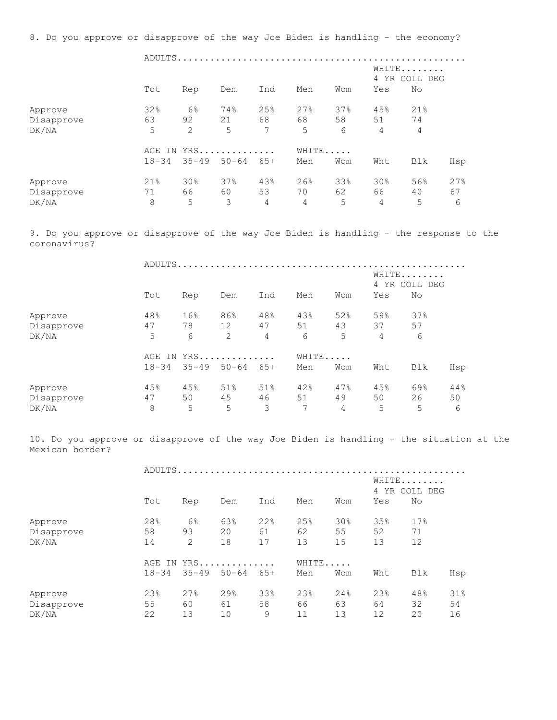8. Do you approve or disapprove of the way Joe Biden is handling - the economy? ADULTS..................................................... WHITE........ 4 YR COLL DEG Tot Rep Dem Ind Men Wom Yes No Approve 32% 6% 74% 25% 27% 37% 45% 21% Disapprove 63 92 21 68 68 58 51 74 DK/NA 5 2 5 7 5 6 4 4 AGE IN YRS.............. WHITE..... 18-34 35-49 50-64 65+ Men Wom Wht Blk Hsp Approve 21% 30% 37% 43% 26% 33% 30% 56% 27% Disapprove 71 66 60 53 70 62 66 40 67 DK/NA 8 5 3 4 4 5 4 5 6 9. Do you approve or disapprove of the way Joe Biden is handling - the response to the coronavirus? ADULTS..................................................... WHITE........ 4 YR COLL DEG Tot Rep Dem Ind Men Wom Yes No Approve 48% 16% 86% 48% 43% 52% 59% 37% Disapprove 47 78 12 47 51 43 37 57 DK/NA 5 6 2 4 6 5 4 6 AGE IN YRS............. WHITE..... 18-34 35-49 50-64 65+ Men Wom Wht Blk Hsp Approve 45% 45% 51% 51% 42% 47% 45% 69% 44% Disapprove 47 50 45 46 51 49 50 26 50 DK/NA 8 5 5 3 7 4 5 5 6 10. Do you approve or disapprove of the way Joe Biden is handling - the situation at the Mexican border? ADULTS..................................................... WHITE........ 4 YR COLL DEG Tot Rep Dem Ind Men Wom Yes No Approve 28% 6% 63% 22% 25% 30% 35% 17% Disapprove 58 93 20 61 62 55 52 71 DK/NA 14 2 18 17 13 15 13 12 AGE IN YRS............... WHITE...... 18-34 35-49 50-64 65+ Men Wom Wht Blk Hsp Approve 23% 27% 29% 33% 23% 24% 23% 48% 31% Disapprove 55 60 61 58 66 63 64 32 54 DK/NA 22 13 10 9 11 13 12 20 16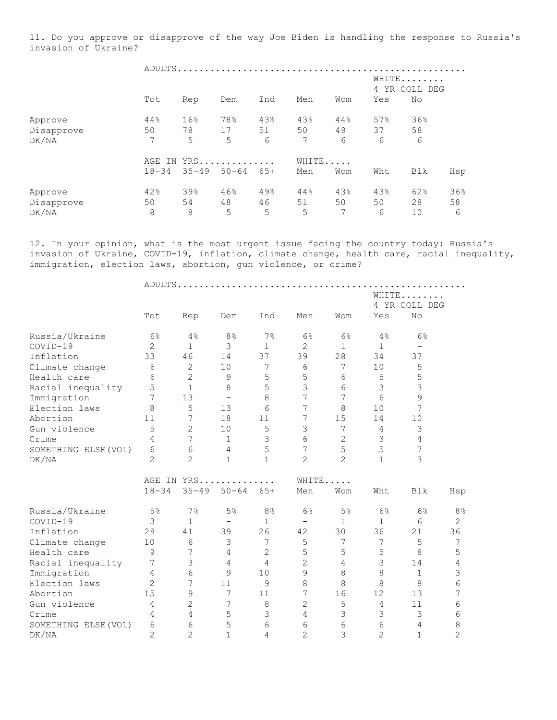11. Do you approve or disapprove of the way Joe Biden is handling the response to Russia's invasion of Ukraine?

|            |           | ADULTS    |           |                        |     |       |     |     |     |  |  |  |
|------------|-----------|-----------|-----------|------------------------|-----|-------|-----|-----|-----|--|--|--|
|            |           |           |           | WHITE<br>4 YR COLL DEG |     |       |     |     |     |  |  |  |
|            | Tot       | Rep       | Dem       | Ind                    | Men | Wom   | Yes | No  |     |  |  |  |
| Approve    | 44%       | 16%       | 78%       | 43%                    | 43% | 44%   | 57% | 36% |     |  |  |  |
| Disapprove | 50        | 78        | 17        | 51                     | 50  | 49    | 37  | 58  |     |  |  |  |
| DK/NA      | 7         | 5         | 5         | 6                      | 7   | 6     | 6   | 6   |     |  |  |  |
|            | AGE IN    |           | YRS       |                        |     | WHITE |     |     |     |  |  |  |
|            | $18 - 34$ | $35 - 49$ | $50 - 64$ | $65+$                  | Men | Wom   | Wht | Blk | Hsp |  |  |  |
| Approve    | 42%       | 39%       | 46%       | 49%                    | 44% | 43%   | 43% | 62% | 36% |  |  |  |
| Disapprove | 50        | 54        | 48        | 46                     | 51  | 50    | 50  | 28  | 58  |  |  |  |
| DK/NA      | 8         | 8         | 5         | 5                      | 5   | 7     | 6   | 10  | 6   |  |  |  |

12. In your opinion, what is the most urgent issue facing the country today: Russia's invasion of Ukraine, COVID-19, inflation, climate change, health care, racial inequality, immigration, election laws, abortion, gun violence, or crime?

|                      |                |                |                          |                |                          |                |                | WHITE             |                |  |  |
|----------------------|----------------|----------------|--------------------------|----------------|--------------------------|----------------|----------------|-------------------|----------------|--|--|
|                      |                |                |                          |                |                          |                |                | 4 YR COLL DEG     |                |  |  |
|                      | Tot            | Rep            | Dem                      | Ind            | Men                      | Wom            | Yes            | No                |                |  |  |
| Russia/Ukraine       | 6%             | 4%             | 8 <sup>°</sup>           | 7%             | 6%                       | 6%             | 4%             | 6%                |                |  |  |
| COVID-19             | $\overline{2}$ | $\mathbf 1$    | 3                        | $\mathbf{1}$   | $\overline{c}$           | $\mathbf{1}$   | $\mathbf{1}$   | $\qquad \qquad -$ |                |  |  |
| Inflation            | 33             | 46             | 14                       | 37             | 39                       | 28             | 34             | 37                |                |  |  |
| Climate change       | 6              | $\mathbf{2}$   | 10                       | 7              | 6                        | 7              | 10             | 5                 |                |  |  |
| Health care          | $\sqrt{6}$     | $\overline{2}$ | 9                        | 5              | 5                        | 6              | 5              | 5                 |                |  |  |
| Racial inequality    | 5              | $\mathbf 1$    | 8                        | 5              | 3                        | $6\phantom{a}$ | 3              | 3                 |                |  |  |
| Immigration          | $\overline{7}$ | 13             | $\overline{\phantom{a}}$ | 8              | 7                        | 7              | 6              | 9                 |                |  |  |
| Election laws        | 8              | 5              | 13                       | 6              | 7                        | 8              | 10             | 7                 |                |  |  |
| Abortion             | 11             | 7              | 18                       | 11             | $\sqrt{}$                | 15             | 14             | 10                |                |  |  |
| Gun violence         | 5              | $\overline{2}$ | 10                       | 5              | 3                        | $\overline{7}$ | $\overline{4}$ | 3                 |                |  |  |
| Crime                | $\overline{4}$ | $\overline{7}$ | 1                        | 3              | 6                        | $\overline{2}$ | 3              | 4                 |                |  |  |
| SOMETHING ELSE (VOL) | 6              | 6              | 4                        | 5              | $\overline{7}$           | 5              | 5              | 7                 |                |  |  |
| DK/NA                | $\overline{2}$ | $\overline{2}$ | $\mathbf{1}$             | $\mathbf{1}$   | $\overline{2}$           | $\overline{2}$ | $\mathbf{1}$   | 3                 |                |  |  |
|                      |                | AGE IN YRS     |                          |                | WHITE                    |                |                |                   |                |  |  |
|                      | $18 - 34$      | $35 - 49$      | $50 - 64$                | $65+$          | Men                      | Wom            | Wht            | Blk               | Hsp            |  |  |
| Russia/Ukraine       | 5 <sup>°</sup> | 7%             | 5 <sup>°</sup>           | 8 <sup>°</sup> | 6%                       | 5 <sup>°</sup> | 6%             | 6%                | 8%             |  |  |
| COVID-19             | 3              | $\mathbf{1}$   | $\qquad \qquad -$        | $\mathbf 1$    | $\overline{\phantom{0}}$ | $\mathbf{1}$   | $\mathbf{1}$   | 6                 | $\overline{2}$ |  |  |
| Inflation            | 29             | 41             | 39                       | 26             | 42                       | 30             | 36             | 21                | 36             |  |  |
| Climate change       | 10             | 6              | $\mathcal{S}$            | $\overline{7}$ | 5                        | $\overline{7}$ | 7              | 5                 | 7              |  |  |
| Health care          | 9              | 7              | $\overline{4}$           | 2              | 5                        | 5              | 5              | 8                 | 5              |  |  |
| Racial inequality    | 7              | 3              | $\overline{4}$           | $\overline{4}$ | $\overline{2}$           | $\overline{4}$ | 3              | 14                | 4              |  |  |
| Immigration          | $\overline{4}$ | 6              | 9                        | 10             | 9                        | 8              | 8              | $\mathbf 1$       | 3              |  |  |
| Election laws        | $\overline{2}$ | 7              | 11                       | 9              | 8                        | 8              | 8              | 8                 | 6              |  |  |
| Abortion             | 15             | 9              | 7                        | 11             | 7                        | 16             | 12             | 13                | 7              |  |  |
| Gun violence         | $\overline{4}$ | $\overline{c}$ | 7                        | 8              | $\overline{c}$           | 5              | 4              | 11                | 6              |  |  |
| Crime                | 4              | 4              | 5                        | 3              | 4                        | 3              | 3              | 3                 | 6              |  |  |
| SOMETHING ELSE (VOL) | 6              | 6              | 5                        | 6              | 6                        | 6              | 6              | 4                 | 8              |  |  |
| DK/NA                | $\overline{2}$ | $\overline{2}$ | $\mathbf{1}$             | 4              | $\overline{2}$           | 3              | $\overline{2}$ | $\mathbf{1}$      | $\overline{2}$ |  |  |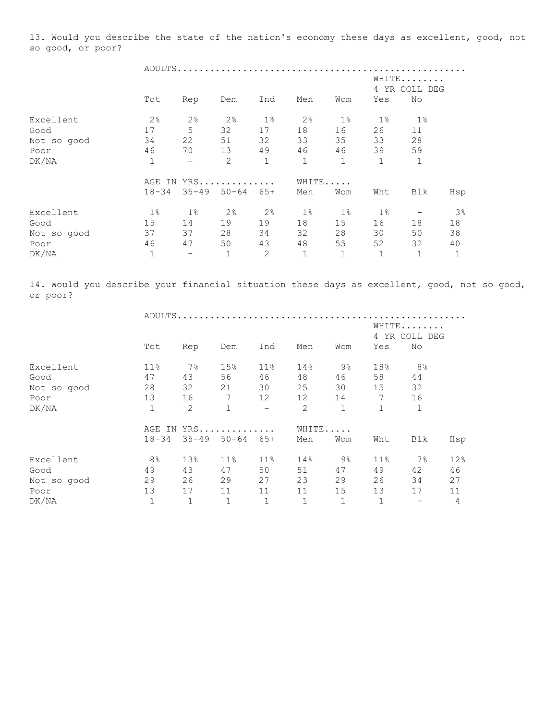13. Would you describe the state of the nation's economy these days as excellent, good, not so good, or poor?

|             |                        |                          | ADULTS              |                |                |              |             |       |                |  |
|-------------|------------------------|--------------------------|---------------------|----------------|----------------|--------------|-------------|-------|----------------|--|
|             | WHITE<br>4 YR COLL DEG |                          |                     |                |                |              |             |       |                |  |
|             | Tot                    | Rep                      | Dem                 | Ind            | Men            | Wom          | Yes         | No    |                |  |
| Excellent   | $2\frac{6}{6}$         | 2 <sup>°</sup>           | 2 <sup>°</sup>      | $1\%$          | 2 <sup>°</sup> | $1\%$        | $1\%$       | $1\%$ |                |  |
| Good        | 17                     | 5                        | 32                  | 17             | 18             | 16           | 26          | 11    |                |  |
| Not so good | 34                     | 22                       | 51                  | 32             | 33             | 35           | 33          | 28    |                |  |
| Poor        | 46                     | 70                       | 13                  | 49             | 46             | 46           | 39          | 59    |                |  |
| DK/NA       | $\mathbf 1$            | $\overline{\phantom{a}}$ | $\overline{c}$      | $\mathbf{1}$   | $\mathbf 1$    | $\mathbf{1}$ | $\mathbf 1$ | $1\,$ |                |  |
|             | AGE<br>IN              |                          | YRS                 |                |                | WHITE        |             |       |                |  |
|             | $18 - 34$              |                          | $35 - 49$ $50 - 64$ | $65+$          | Men            | Wom          | Wht         | Blk   | Hsp            |  |
| Excellent   | $1\%$                  | $1\%$                    | 2 <sup>°</sup>      | 2 <sup>°</sup> | $1\%$          | $1\%$        | $1\%$       |       | 3 <sup>°</sup> |  |
| Good        | 15                     | 14                       | 19                  | 19             | 18             | 15           | 16          | 18    | 18             |  |
| Not so good | 37                     | 37                       | 28                  | 34             | 32             | 28           | 30          | 50    | 38             |  |
| Poor        | 46                     | 47                       | 50                  | 43             | 48             | 55           | 52          | 32    | 40             |  |
| DK/NA       | $\mathbf 1$            | $\overline{\phantom{0}}$ | 1                   | 2              |                | $1\,$        | $\mathbf 1$ |       | $\mathbf 1$    |  |

14. Would you describe your financial situation these days as excellent, good, not so good, or poor?

|             | ADULTS         |              |              |                          |             |              |                        |             |     |  |
|-------------|----------------|--------------|--------------|--------------------------|-------------|--------------|------------------------|-------------|-----|--|
|             |                |              |              |                          |             |              | WHITE<br>4 YR COLL DEG |             |     |  |
|             | Tot            | Rep          | Dem          | Ind                      | Men         | Wom          | Yes                    | No          |     |  |
| Excellent   | $11\%$         | $7\%$        | 15%          | $11\%$                   | 14%         | $9\%$        | 18%                    | 8%          |     |  |
| Good        | 47             | 43           | 56           | 46                       | 48          | 46           | 58                     | 44          |     |  |
| Not so good | 28             | 32           | 21           | 30                       | 25          | 30           | 15                     | 32          |     |  |
| Poor        | 13             | 16           | 7            | 12                       | 12          | 14           | 7                      | 16          |     |  |
| DK/NA       | $\mathbf 1$    | 2            | $\mathbf{1}$ | $\overline{\phantom{m}}$ | 2           | $\mathbf{1}$ | $\mathbf{1}$           | $\mathbf 1$ |     |  |
|             | AGE IN         |              | YRS          |                          |             | WHITE        |                        |             |     |  |
|             | $18 - 34$      | $35 - 49$    | $50 - 64$    | $65+$                    | Men         | Wom          | Wht                    | Blk         | Hsp |  |
| Excellent   | 8 <sup>°</sup> | 13%          | $11\%$       | 11%                      | 14%         | 9%           | $11\%$                 | $7\%$       | 12% |  |
| Good        | 49             | 43           | 47           | 50                       | 51          | 47           | 49                     | 42          | 46  |  |
| Not so good | 29             | 26           | 29           | 27                       | 23          | 29           | 26                     | 34          | 27  |  |
| Poor        | 13             | 17           | 11           | 11                       | 11          | 15           | 13                     | 17          | 11  |  |
| DK/NA       | $\mathbf 1$    | $\mathbf{1}$ | 1            | $\mathbf{1}$             | $\mathbf 1$ | $\mathbf{1}$ | $\mathbf 1$            |             | 4   |  |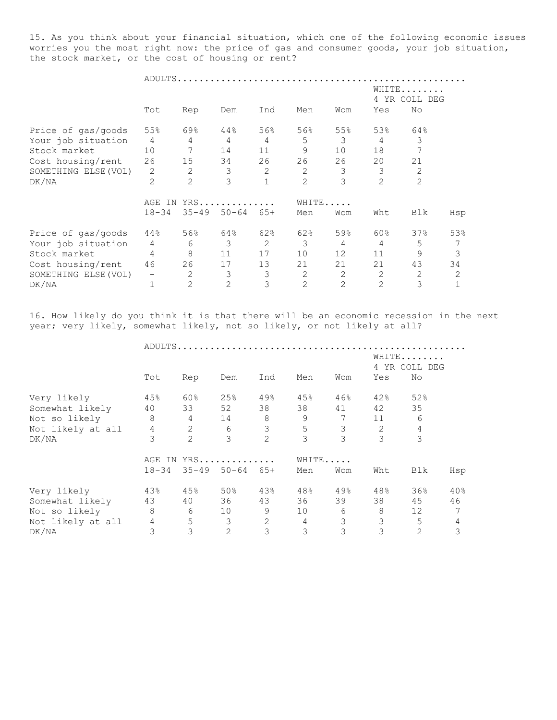15. As you think about your financial situation, which one of the following economic issues worries you the most right now: the price of gas and consumer goods, your job situation, the stock market, or the cost of housing or rent?

|                      |                |                | ADULTS         |       |                |                |                |                   |     |
|----------------------|----------------|----------------|----------------|-------|----------------|----------------|----------------|-------------------|-----|
|                      |                |                |                |       |                |                | 4 YR           | WHITE<br>COLL DEG |     |
|                      | Tot            | Rep            | Dem            | Ind   | Men            | Wom            | Yes            | No                |     |
| Price of gas/goods   | 55%            | 69%            | 44%            | 56%   | 56%            | 55%            | 53%            | 64%               |     |
| Your job situation   | $\overline{4}$ | 4              | 4              | 4     | 5              | 3              | 4              | 3                 |     |
| Stock market         | 10             | 7              | 14             | 11    | 9              | 10             | 18             |                   |     |
| Cost housing/rent    | 26             | 15             | 34             | 26    | 26             | 26             | 20             | 21                |     |
| SOMETHING ELSE (VOL) | 2              | 2              | 3              | 2     | 2              | 3              | 3              | 2                 |     |
| DK/NA                | 2              | $\overline{2}$ | 3              |       | $\overline{2}$ | 3              | 2              | $\overline{2}$    |     |
|                      | AGE<br>ΙN      |                | $YRS$          |       | WHITE          |                |                |                   |     |
|                      | $18 - 34$      | $35 - 49$      | $50 - 64$      | $65+$ | Men            | Wom            | Wht            | Blk               | Hsp |
| Price of gas/goods   | 44%            | 56%            | 64%            | 62%   | 62%            | 59%            | 60%            | 37%               | 53% |
| Your job situation   | $\overline{4}$ | 6              | 3              | 2     | 3              | 4              | 4              | 5                 | 7   |
| Stock market         | $\overline{4}$ | 8              | 11             | 17    | 10             | 12             | 11             | 9                 | 3   |
| Cost housing/rent    | 46             | 26             | 17             | 13    | 21             | 21             | 21             | 43                | 34  |
| SOMETHING ELSE (VOL) |                | 2              | 3              | 3     | 2              | $\overline{2}$ | 2              | 2                 | 2   |
| DK/NA                |                | 2              | $\overline{2}$ | 3     | $\overline{2}$ | $\overline{2}$ | $\overline{2}$ | 3                 | 1   |

16. How likely do you think it is that there will be an economic recession in the next year; very likely, somewhat likely, not so likely, or not likely at all?

|                   |                 |                 | ADULTS                     |                        |                |                |                |                 |     |
|-------------------|-----------------|-----------------|----------------------------|------------------------|----------------|----------------|----------------|-----------------|-----|
|                   |                 |                 |                            | WHITE<br>4 YR COLL DEG |                |                |                |                 |     |
|                   | Tot             | Rep             | Dem                        | Ind                    | Men            | Wom            | Yes            | No              |     |
| Very likely       | 45%             | 60%             | 25%                        | 49%                    | 45%            | 46%            | 42%            | 52%             |     |
| Somewhat likely   | 40              | 33              | 52                         | 38                     | 38             | 41             | 42             | 35              |     |
| Not so likely     | 8               | $4\overline{ }$ | 14                         | 8                      | 9              | 7              | 11             | 6               |     |
| Not likely at all | $4\overline{4}$ | 2               | 6                          | 3 <sup>7</sup>         | 5              | 3 <sup>7</sup> | $\overline{2}$ | $\overline{4}$  |     |
| DK/NA             | 3               | $\overline{2}$  | 3                          | $\overline{2}$         | 3              | 3              | 3              | 3               |     |
|                   |                 |                 | AGE IN YRS                 |                        |                | WHITE          |                |                 |     |
|                   | $18 - 34$       |                 | $35 - 49$ $50 - 64$ $65 +$ |                        | Men            | Wom            | Wht            | Blk             | Hsp |
| Very likely       | 43%             | 45%             | 50%                        | 43%                    | 48%            | 49%            | 48%            | 36%             | 40% |
| Somewhat likely   | 43              | 40              | 36                         | 43                     | 36             | 39             | 38             | 45              | 46  |
| Not so likely     | 8               | 6               | 10                         | 9                      | 10             | 6              | 8              | 12 <sup>°</sup> | 7   |
| Not likely at all | $\overline{4}$  | 5               | $\mathcal{S}$              | $\overline{c}$         | $\overline{4}$ | $\mathcal{E}$  | $\mathfrak{Z}$ | 5               | 4   |
| DK/NA             | 3               | 3               | $\overline{2}$             | 3                      | 3              | 3              | 3              | $\overline{2}$  | 3   |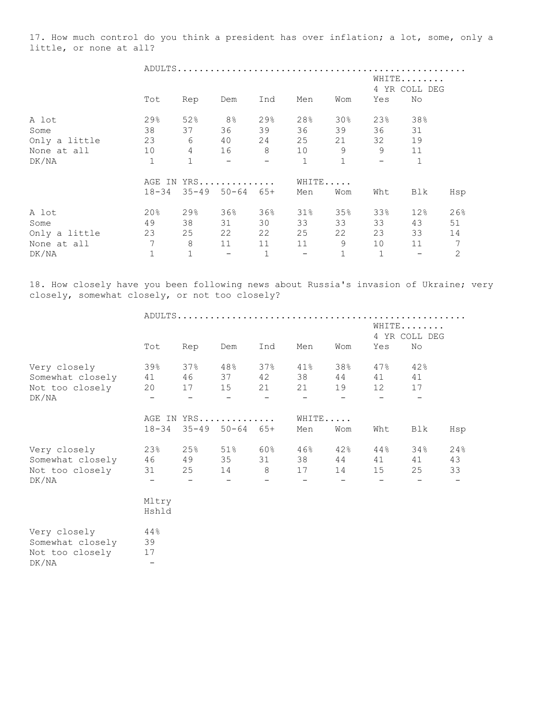17. How much control do you think a president has over inflation; a lot, some, only a little, or none at all?

|               |              | ADULTS         |                            |              |                          |                 |              |              |              |
|---------------|--------------|----------------|----------------------------|--------------|--------------------------|-----------------|--------------|--------------|--------------|
|               |              |                |                            |              | WHITE<br>4 YR COLL DEG   |                 |              |              |              |
|               | Tot          | Rep            | Dem                        | Ind          | Men                      | Wom             | Yes          | No           |              |
| A lot         | 29%          | 52%            | 8 <sup>°</sup>             | 29%          | 28%                      | 30 <sub>8</sub> | 23%          | 38%          |              |
| Some          | 38           | 37             | 36                         | 39           | 36                       | 39              | 36           | 31           |              |
| Only a little | 23           | 6              | 40                         | 24           | 25                       | 21              | 32           | 19           |              |
| None at all   | 10           | $\overline{4}$ | 16                         | 8            | 10                       | 9               | 9            | 11           |              |
| DK/NA         | $\mathbf{1}$ | $\mathbf 1$    |                            |              | $\mathbf{1}$             | $\mathbf 1$     |              | $\mathbf{1}$ |              |
|               |              | AGE IN YRS     |                            |              |                          | WHITE           |              |              |              |
|               | $18 - 34$    |                | $35 - 49$ $50 - 64$ $65 +$ |              | Men                      | Wom             | Wht          | Blk          | Hsp          |
| A lot         | 20%          | 29%            | 36%                        | 36%          | $31\%$                   | 35%             | 33%          | 12%          | 26%          |
| Some          | 49           | 38             | 31                         | 30           | 33                       | 33              | 33           | 43           | 51           |
| Only a little | 23           | 25             | 22                         | 22           | 25                       | 22              | 23           | 33           | 14           |
| None at all   | 7            | 8              | 11                         | 11           | 11                       | 9               | 10           | 11           | 7            |
| DK/NA         | $\mathbf 1$  | $1\,$          | $\overline{\phantom{0}}$   | $\mathbf{1}$ | $\overline{\phantom{0}}$ | $1\,$           | $\mathbf{1}$ |              | $\mathbf{2}$ |

18. How closely have you been following news about Russia's invasion of Ukraine; very closely, somewhat closely, or not too closely?

|                                                              | WHITE<br>4 YR COLL DEG |                 |                                          |                 |                 |                                             |                                 |                 |                 |  |  |
|--------------------------------------------------------------|------------------------|-----------------|------------------------------------------|-----------------|-----------------|---------------------------------------------|---------------------------------|-----------------|-----------------|--|--|
|                                                              | Tot                    | Rep             | Dem                                      | Ind             | Men             | Wom                                         | Yes                             | No              |                 |  |  |
| Very closely<br>Somewhat closely<br>Not too closely<br>DK/NA | 39%<br>41<br>20        | 37%<br>46<br>17 | 48%<br>37<br>15                          | 37%<br>42<br>21 | 41%<br>38<br>21 | 38%<br>44<br>19                             | $47\%$<br>41<br>12              | 42%<br>41<br>17 |                 |  |  |
|                                                              | $18 - 34$              |                 | AGE IN YRS<br>$35 - 49$ $50 - 64$ $65 +$ |                 | WHITE<br>Men    | Wom                                         | Wht                             | Blk             | Hsp             |  |  |
| Very closely<br>Somewhat closely<br>Not too closely<br>DK/NA | 23%<br>46<br>31        | 25%<br>25       | $51\%$<br>49 35<br>14                    | 60 %<br>31<br>8 | 46%<br>38<br>17 | 42%<br>44<br>14<br>$\overline{\phantom{a}}$ | $44\,$ $^{\circ}\,$<br>41<br>15 | 34%<br>41<br>25 | 24%<br>43<br>33 |  |  |
|                                                              | Mltry<br>Hshld         |                 |                                          |                 |                 |                                             |                                 |                 |                 |  |  |
| Very closely<br>Somewhat closely<br>Not too closely          | 44%<br>39<br>17        |                 |                                          |                 |                 |                                             |                                 |                 |                 |  |  |

 $DK/NA$  -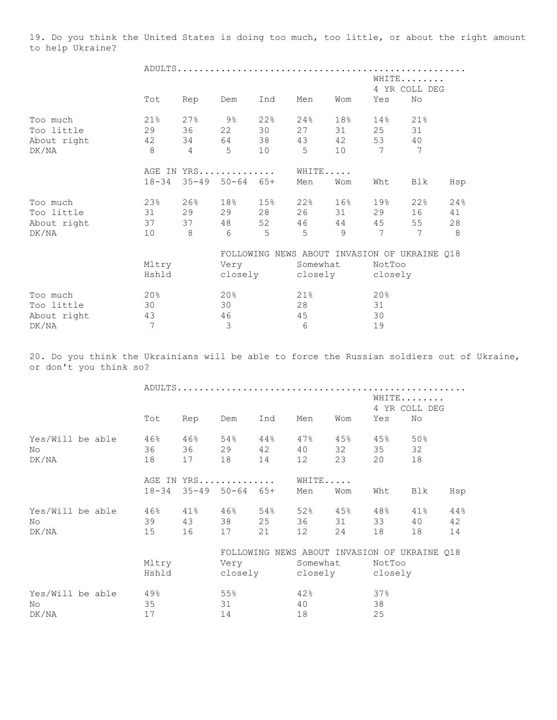19. Do you think the United States is doing too much, too little, or about the right amount to help Ukraine?

|             |           |                |                            |     |          |                 |                 | WHITE<br>4 YR COLL DEG                       |     |  |  |
|-------------|-----------|----------------|----------------------------|-----|----------|-----------------|-----------------|----------------------------------------------|-----|--|--|
|             | Tot       | Rep            | Dem                        | Ind | Men      | Wom             | Yes             | No                                           |     |  |  |
| Too much    | 21%       | 27%            | 9응                         | 22% | 24%      | 18%             | 14%             | 21%                                          |     |  |  |
| Too little  | 29        | 36             | 22                         | 30  | 27       | 31              | 25              | 31                                           |     |  |  |
| About right | 42        | 34             |                            | 38  | 43       | 42              | 53              | 40                                           |     |  |  |
| DK/NA       | 8         | $\overline{4}$ | 5                          | 10  | 5        | 10 <sup>°</sup> | 7               | 7                                            |     |  |  |
|             |           |                | AGE IN YRS                 |     |          | WHITE           |                 |                                              |     |  |  |
|             | $18 - 34$ |                | $35 - 49$ $50 - 64$ $65 +$ |     | Men      | Wom             | Wht             | Blk                                          | Hsp |  |  |
| Too much    | 23%       | 26%            | 18%                        | 15% | 22%      | 16%             | 19%             | 22%                                          | 24% |  |  |
| Too little  | 31        | 29             | 29                         | 28  | 26       | 31              | 29              | 16                                           | 41  |  |  |
| About right | 37        | 37             | 48                         | 52  | 46       | 44              | 45              | 55                                           | 28  |  |  |
| DK/NA       | 10        | 8              | 6                          | 5   | 5        | $\circ$         | 7               | 7                                            | 8   |  |  |
|             |           |                |                            |     |          |                 |                 | FOLLOWING NEWS ABOUT INVASION OF UKRAINE Q18 |     |  |  |
|             | Mltry     |                | Very                       |     | Somewhat |                 | NotToo          |                                              |     |  |  |
|             | Hshld     |                | closely                    |     |          |                 | closely closely |                                              |     |  |  |
| Too much    | 20%       |                | 20%                        |     | 21%      |                 | 20%             |                                              |     |  |  |
| Too little  | 30        |                | 30                         |     | 28       |                 | 31              |                                              |     |  |  |
| About right | 43        |                | 46                         |     | 45       |                 | 30              |                                              |     |  |  |
| DK/NA       | 7         |                | $\mathfrak{Z}$             |     | 6        |                 | 19              |                                              |     |  |  |

20. Do you think the Ukrainians will be able to force the Russian soldiers out of Ukraine, or don't you think so?

|                  |  |           |     |                            |                     |                 |        | WHITE   | 4 YR COLL DEG                                |     |
|------------------|--|-----------|-----|----------------------------|---------------------|-----------------|--------|---------|----------------------------------------------|-----|
|                  |  | Tot       | Rep | Dem                        | Ind                 | Men             | Wom    | Yes     | No                                           |     |
| Yes/Will be able |  | 46%       | 46% | 54%                        | $44\,$ $^{\circ}\,$ | $47\%$          | 45%    | 45%     | 50%                                          |     |
| No               |  | 36        |     | 36 29 42                   |                     | 40              | 32     | 35      | 32                                           |     |
| DK/NA            |  | 18        | 17  | 18                         | 14                  | 12              | 23     | 20      | 18                                           |     |
|                  |  |           |     | AGE IN YRS                 |                     | WHITE           |        |         |                                              |     |
|                  |  | $18 - 34$ |     | $35 - 49$ $50 - 64$ $65 +$ |                     | Men             | Wom    | Wht     | Blk                                          | Hsp |
| Yes/Will be able |  | 46%       | 41% | $46\%$ 54%                 |                     | 52%             | $45\%$ | 48%     | $41\%$                                       | 44% |
| No               |  | 39        | 43  | 38 25                      |                     | 36 1            | 31     | 33      | 40                                           | 42  |
| DK/NA            |  | 15        | 16  | 17                         | 21                  | 12              | 24     | 18      | 18                                           | 14  |
|                  |  |           |     |                            |                     |                 |        |         | FOLLOWING NEWS ABOUT INVASION OF UKRAINE Q18 |     |
|                  |  | Mltry     |     | Very                       |                     | Somewhat        |        | NotToo  |                                              |     |
|                  |  | Hshld     |     |                            |                     | closely closely |        | closely |                                              |     |
| Yes/Will be able |  | 49%       |     | 55%                        |                     | 42%             |        | 37%     |                                              |     |
| No               |  | 35        |     | 31                         |                     | 40              |        | 38      |                                              |     |
| DK/NA            |  | 17        |     | 14                         |                     | 18              |        | 25      |                                              |     |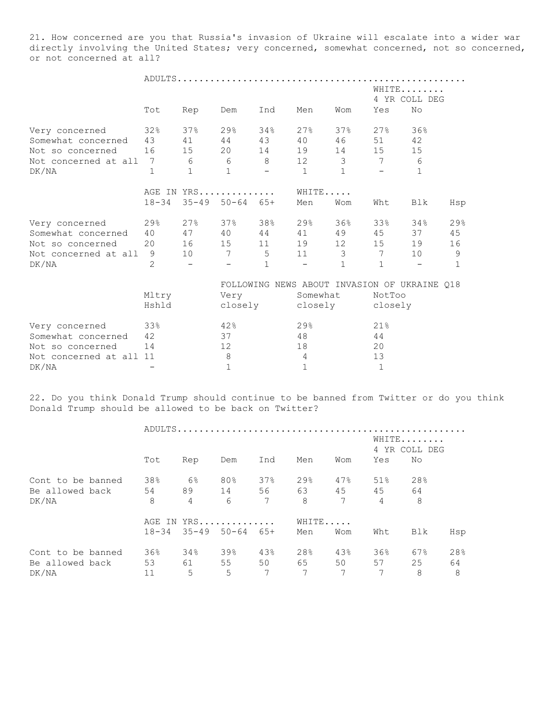21. How concerned are you that Russia's invasion of Ukraine will escalate into a wider war directly involving the United States; very concerned, somewhat concerned, not so concerned, or not concerned at all?

|                        |                 | ADULTS                   |                            |                 |              |                                              |             |                        |              |  |  |  |
|------------------------|-----------------|--------------------------|----------------------------|-----------------|--------------|----------------------------------------------|-------------|------------------------|--------------|--|--|--|
|                        |                 |                          |                            |                 |              |                                              |             | WHITE<br>4 YR COLL DEG |              |  |  |  |
|                        | Tot             | Rep                      | Dem                        | Ind             | Men          | Wom                                          | Yes         | No                     |              |  |  |  |
| Very concerned         | 32%             | 37%                      | 29%                        | 34%             | 27%          | 37%                                          | 27%         | 36%                    |              |  |  |  |
| Somewhat concerned     | 43              | 41                       | 44                         | 43              | 40           | 46                                           | 51          | 42                     |              |  |  |  |
| Not so concerned       | 16              |                          | 15 20 14                   |                 | 19           |                                              | 14 15       | 15                     |              |  |  |  |
| Not concerned at all 7 | $6\overline{6}$ |                          | 6                          | 8 <sup>8</sup>  | 12           | 3 <sup>7</sup>                               | 7           | 6                      |              |  |  |  |
| DK/NA                  | $\mathbf{1}$    | $\mathbf{1}$             | $\mathbf{1}$               |                 | $\mathbf{1}$ | $\mathbf{1}$                                 |             | $\mathbf{1}$           |              |  |  |  |
|                        |                 | AGE IN YRS               |                            |                 | WHITE        |                                              |             |                        |              |  |  |  |
|                        | $18 - 34$       |                          | $35 - 49$ $50 - 64$ $65 +$ |                 | Men          | Wom                                          | Wht         | Blk                    | Hsp          |  |  |  |
| 298<br>Very concerned  |                 |                          | $27\%$ 37%                 | 38%             | 29%          | 36%                                          | 33%         | 34%                    | 29%          |  |  |  |
| Somewhat concerned     | 40              |                          | 47 40 44                   |                 | 41           | 49                                           | 45          | 37                     | 45           |  |  |  |
| Not so concerned       | 20              | 16                       | 15 11                      |                 | 19           |                                              | 12 15       | 19                     | 16           |  |  |  |
| Not concerned at all   | 9               | 10                       | $7\phantom{.0}$            | $5\overline{)}$ | $11$ 3       |                                              | 7           | 10                     | $\mathsf 9$  |  |  |  |
| DK/NA                  | $\overline{2}$  | $\overline{\phantom{a}}$ | $\qquad \qquad -$          | $\mathbf{1}$    | $-$          | $\mathbf{1}$                                 | $\mathbf 1$ |                        | $\mathbf{1}$ |  |  |  |
|                        |                 |                          |                            |                 |              | FOLLOWING NEWS ABOUT INVASION OF UKRAINE Q18 |             |                        |              |  |  |  |
|                        | Mltry           |                          | Very                       |                 | Somewhat     |                                              | NotToo      |                        |              |  |  |  |
|                        | Hshld           |                          |                            | closely         |              | closely closely                              |             |                        |              |  |  |  |

| Very concerned          | $33\%$ | 42% | $29$ <sup>2</sup> | 21.8 |
|-------------------------|--------|-----|-------------------|------|
| Somewhat concerned      | 42     |     | 48                | 44   |
| Not so concerned        |        |     | 18                |      |
| Not concerned at all 11 |        |     |                   |      |
| DK/NA                   |        |     |                   |      |

22. Do you think Donald Trump should continue to be banned from Twitter or do you think Donald Trump should be allowed to be back on Twitter?

|                   |           |      |                            | WHITE<br>4 YR COLL DEG |       |        |                |     |     |  |
|-------------------|-----------|------|----------------------------|------------------------|-------|--------|----------------|-----|-----|--|
|                   | Tot       | Rep  | Dem                        | Ind                    | Men   | Wom    | Yes            | No  |     |  |
| Cont to be banned | 38%       | 6%   | 80%                        | 37%                    | 29%   | $47\%$ | 51%            | 28% |     |  |
| Be allowed back   | 54        | 89   | 14                         | 56 63                  |       | 45     | 45             | 64  |     |  |
| DK/NA             | 8         | 4    | 6                          | 7                      | 8     | 7      | $\overline{4}$ | 8   |     |  |
|                   |           |      | AGE IN YRS                 |                        | WHITE |        |                |     |     |  |
|                   | $18 - 34$ |      | $35 - 49$ $50 - 64$ $65 +$ |                        | Men   | Wom    | Wht            | Blk | Hsp |  |
| Cont to be banned | 36%       | 34%  | 39%                        | 43%                    | 28%   | 43%    | 36%            | 67% | 28% |  |
| Be allowed back   | 53        | 61 — | 55                         | 50                     | 65 —  | 50     | 57             | 25  | 64  |  |
| DK/NA             | 11        | 5    | 5                          | 7                      | 7     | 7      | 7              | 8   | 8   |  |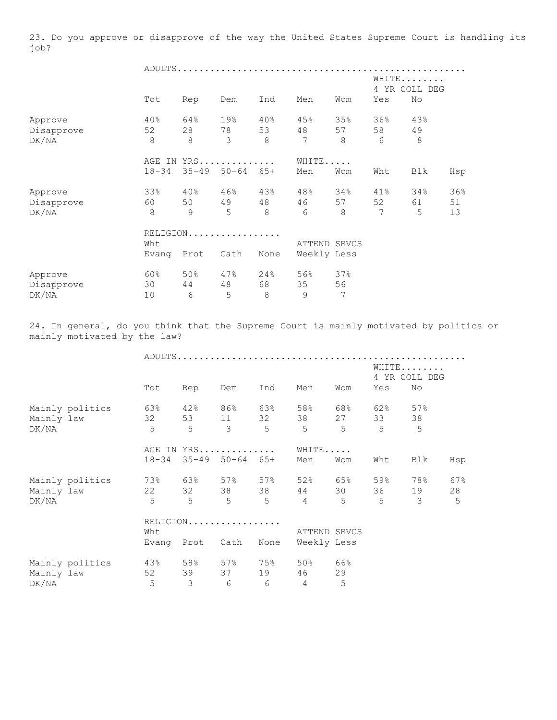23. Do you approve or disapprove of the way the United States Supreme Court is handling its job?

|            |           |           |           |       |              |     |     | WHITE<br>4 YR COLL DEG |     |
|------------|-----------|-----------|-----------|-------|--------------|-----|-----|------------------------|-----|
|            | Tot       | Rep       | Dem       | Ind   | Men          | Wom | Yes | No                     |     |
| Approve    | 40%       | 64%       | 19%       | 40%   | 45%          | 35% | 36% | 43%                    |     |
| Disapprove | 52        | 28        | 78        | 53    | 48           | 57  | 58  | 49                     |     |
| DK/NA      | 8         | 8         | 3         | 8     | 7            | 8   | 6   | 8                      |     |
|            | AGE IN    |           | YRS       |       | WHITE        |     |     |                        |     |
|            | $18 - 34$ | $35 - 49$ | $50 - 64$ | $65+$ | Men          | Wom | Wht | Blk                    | Hsp |
| Approve    | 33%       | 40%       | 46%       | 43%   | 48%          | 34% | 41% | 34%                    | 36% |
| Disapprove | 60        | 50        | 49        | 48    | 46           | 57  | 52  | 61                     | 51  |
| DK/NA      | 8         | 9         | 5         | 8     | 6            | 8   | 7   | 5                      | 13  |
|            |           |           | RELIGION  |       |              |     |     |                        |     |
|            | Wht       |           |           |       | ATTEND SRVCS |     |     |                        |     |
|            | Evang     | Prot      | Cath      | None  | Weekly Less  |     |     |                        |     |
| Approve    | 60%       | 50%       | 47%       | 24%   | 56%          | 37% |     |                        |     |
| Disapprove | 30        | 44        | 48        | 68    | 35           | 56  |     |                        |     |
| DK/NA      | 10        | 6         | 5         | 8     | 9            | 7   |     |                        |     |

24. In general, do you think that the Supreme Court is mainly motivated by politics or mainly motivated by the law?

|            |                 |                |                |                            |                 |                     |                 |         | WHITE<br>4 YR COLL DEG  |     |
|------------|-----------------|----------------|----------------|----------------------------|-----------------|---------------------|-----------------|---------|-------------------------|-----|
|            |                 | Tot            | Rep            | Dem                        | Ind             | Men                 | Wom             | Yes     | No                      |     |
|            | Mainly politics | 63%            |                | 42% 86% 63%                |                 | 58%                 | 68%             | 62% 57% |                         |     |
| Mainly law |                 | 32             |                |                            |                 | 53 11 32 38         | 27              | 33 38   |                         |     |
| DK/NA      |                 | $\overline{5}$ | 5              | $\overline{\mathbf{3}}$    | $5^{\circ}$     | $5^{\circ}$         | $5\overline{)}$ | 5       | 5                       |     |
|            |                 |                |                | AGE IN YRS                 |                 | WHITE               |                 |         |                         |     |
|            |                 | $18 - 34$      |                | $35 - 49$ $50 - 64$ $65 +$ |                 | Men                 | Wom             | Wht     | Blk                     | Hsp |
|            | Mainly politics |                |                |                            |                 | 73% 63% 57% 57% 52% | 65%             | 59% 78% |                         | 67% |
| Mainly law |                 | 22             |                |                            |                 | 32 38 38 44         | 30              |         | 36 19                   | 28  |
| DK/NA      |                 | $5^{\circ}$    | 555            |                            | $5\overline{)}$ | $4\qquad\qquad 5$   |                 | 5       | $\overline{\mathbf{3}}$ | 5   |
|            |                 |                |                | RELIGION                   |                 |                     |                 |         |                         |     |
|            |                 | Wht            |                |                            |                 | ATTEND SRVCS        |                 |         |                         |     |
|            |                 | Evang Prot     |                | Cath                       | None            | Weekly Less         |                 |         |                         |     |
|            | Mainly politics | 43%            |                | $58\%$ 57% 75% 50%         |                 |                     | 66%             |         |                         |     |
| Mainly law |                 | 52             | 39             | 37                         | 19              | 46                  | 29              |         |                         |     |
| DK/NA      |                 | 5              | $\mathfrak{Z}$ | 6                          | 6               | $\overline{4}$      | 5               |         |                         |     |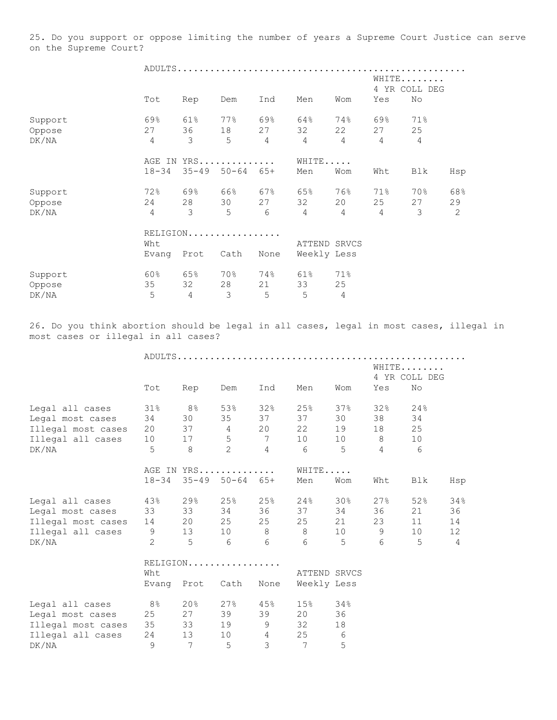25. Do you support or oppose limiting the number of years a Supreme Court Justice can serve on the Supreme Court?

|         |                |                     |               |                |                |                |                | WHITE<br>4 YR COLL DEG |     |  |  |
|---------|----------------|---------------------|---------------|----------------|----------------|----------------|----------------|------------------------|-----|--|--|
|         | Tot            | Rep                 | Dem           | Ind            | Men            | Wom            | Yes            | No                     |     |  |  |
| Support | 69%            | 61%                 | 77%           | 69%            | 64%            | 74%            | 69%            | 71%                    |     |  |  |
| Oppose  | 27             | 36                  | 18            | 27             | 32             | 22             | 27             | 25                     |     |  |  |
| DK/NA   | $\overline{4}$ | 3                   | 5             | $\overline{4}$ | $\overline{4}$ | $\overline{4}$ | 4              | $\overline{4}$         |     |  |  |
|         |                |                     | AGE IN YRS    |                | WHITE          |                |                |                        |     |  |  |
|         | $18 - 34$      | $35 - 49$ $50 - 64$ |               | $65+$          | Men            | Wom            | Wht            | Blk                    | Hsp |  |  |
| Support | 72%            | 69%                 | 66%           | 67%            | 65%            | 76%            | 71%            | 70%                    | 68% |  |  |
| Oppose  | 24             | 28                  | 30            | 27             | 32             | 20             | 25             | 27                     | 29  |  |  |
| DK/NA   | $\overline{4}$ | 3                   | 5             | 6              | $\overline{4}$ | $\overline{4}$ | $\overline{4}$ | 3                      | 2   |  |  |
|         |                |                     | RELIGION      |                |                |                |                |                        |     |  |  |
|         | Wht            |                     |               |                | ATTEND SRVCS   |                |                |                        |     |  |  |
|         | Evang          | Prot                | Cath          | None           | Weekly Less    |                |                |                        |     |  |  |
| Support | 60%            | 65%                 | 70%           | 74%            | 61%            | 71%            |                |                        |     |  |  |
| Oppose  | 35             | 32                  | 28            | 21             | 33             | 25             |                |                        |     |  |  |
| DK/NA   | 5              | $\overline{4}$      | $\mathcal{S}$ | 5              | 5              | $\overline{4}$ |                |                        |     |  |  |

26. Do you think abortion should be legal in all cases, legal in most cases, illegal in most cases or illegal in all cases?

|                     |                |                 |                            | WHITE<br>4 YR COLL DEG |                 |              |                |     |     |
|---------------------|----------------|-----------------|----------------------------|------------------------|-----------------|--------------|----------------|-----|-----|
|                     | Tot            | Rep             | Dem                        | Ind                    | Men             | Wom          | Yes            | No  |     |
| Legal all cases     | 31%            | 8%              | 53%                        | 32%                    | 25%             | 37%          | 32%            | 24% |     |
| Legal most cases    | 34             | 30              | 35                         | 37                     | 37              | 30           | 38             | 34  |     |
| Illegal most cases  | 20             |                 | 37 4 20                    |                        | 22              | 19           | 18             | 25  |     |
| Illegal all cases   | 10             | 17              | 5                          | $7\phantom{0000}$      | 10              | 10           | 8 <sup>8</sup> | 10  |     |
| DK/NA               | 5              | 8               | $\overline{c}$             | $\overline{4}$         | 6               | 5            | $\overline{4}$ | 6   |     |
|                     |                |                 | AGE IN YRS                 |                        | WHITE           |              |                |     |     |
|                     | $18 - 34$      |                 | $35 - 49$ $50 - 64$ $65 +$ |                        | Men             | Wom          | Wht            | Blk | Hsp |
| Legal all cases     | 43%            | $29\%$          |                            | 25% 25%                | 24%             | 30%          | 27%            | 52% | 34% |
| Legal most cases    | 33             | 33              |                            | 34 36                  | 37              | 34           | 36             | 21  | 36  |
| Illegal most cases  | 14             | 20              |                            | 25 25                  | 25              | 21           | 23             | 11  | 14  |
| Illegal all cases 9 |                | 13              |                            |                        | 10 8 8          | 10           | 9              | 10  | 12  |
| DK/NA               | $\overline{2}$ | $5^{\circ}$     | 6                          | 6                      | 6               | $5^{\circ}$  | 6              | 5   | 4   |
|                     |                |                 | RELIGION                   |                        |                 |              |                |     |     |
|                     | Wht            |                 |                            |                        |                 | ATTEND SRVCS |                |     |     |
|                     |                | Evang Prot      | Cath                       | None                   |                 | Weekly Less  |                |     |     |
| Legal all cases     | $8\,$ %        | 20%             |                            | $27\%$ 45%             | 15%             | 34%          |                |     |     |
| Legal most cases    | 25             | 27              | 39                         | 39                     | 20              | 36           |                |     |     |
| Illegal most cases  | 35             | 33              | 19                         | $9 \quad \bullet$      | 32              | 18           |                |     |     |
| Illegal all cases   | 24             | 13              | 10                         | $4\degree$             | 25              | 6            |                |     |     |
| DK/NA               | 9              | $7\phantom{.0}$ | 5                          | $\mathcal{E}$          | $7\phantom{.0}$ | 5            |                |     |     |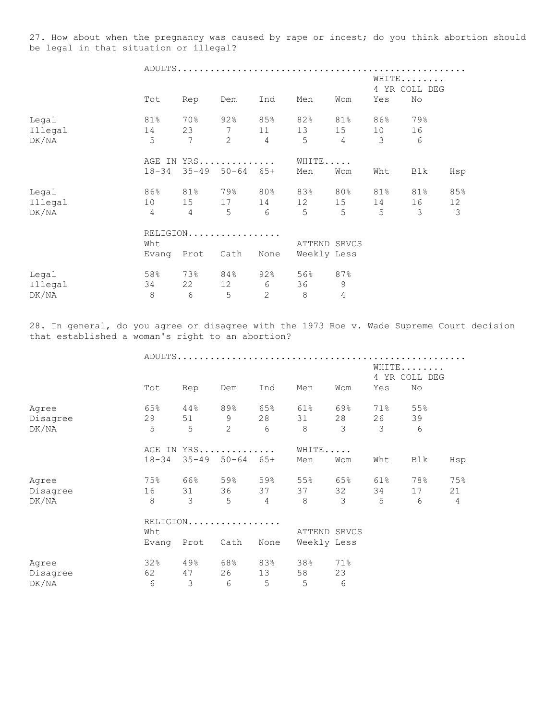27. How about when the pregnancy was caused by rape or incest; do you think abortion should be legal in that situation or illegal?

|         |                 |                |                     | WHITE<br>4 YR COLL DEG |              |                |     |     |               |  |
|---------|-----------------|----------------|---------------------|------------------------|--------------|----------------|-----|-----|---------------|--|
|         | Tot             | Rep            | Dem                 | Ind                    | Men          | Wom            | Yes | No  |               |  |
| Legal   | 81%             | 70%            |                     | 92% 85%                | 82%          | 81%            | 86% | 79% |               |  |
| Illegal | 14              | 23             | 7                   | 11                     | 13           | 15             | 10  | 16  |               |  |
| DK/NA   | 5               | 7              | 2                   | $\overline{4}$         | 5            | $\overline{4}$ | 3   | 6   |               |  |
|         |                 |                | AGE IN YRS          |                        | WHITE        |                |     |     |               |  |
|         | $18 - 34$       |                | $35 - 49$ $50 - 64$ | 65+                    | Men          | Wom            | Wht | Blk | Hsp           |  |
| Legal   | 86%             |                | 81% 79% 80%         |                        | 83%          | 80%            | 81% | 81% | 85%           |  |
| Illegal | 10 <sub>o</sub> | 15             | 17                  | 14                     | 12           | 15             | 14  | 16  | 12            |  |
| DK/NA   | $\overline{4}$  | $\overline{4}$ | 5                   | 6                      | 5            | $5^{\circ}$    | 5   | 3   | $\mathcal{S}$ |  |
|         | RELIGION.       |                |                     |                        |              |                |     |     |               |  |
|         | Wht             |                |                     |                        | ATTEND SRVCS |                |     |     |               |  |
|         | Evang           | Prot           | Cath                | None                   | Weekly Less  |                |     |     |               |  |
| Legal   | 58%             |                | 73% 84%             | 92%                    | 56%          | 87%            |     |     |               |  |
| Illegal | 34              | 22             | 12                  | 6                      | 36           | $\mathsf 9$    |     |     |               |  |
| DK/NA   | $\,8\,$         | $6\,$          | 5                   | 2                      | $\,8\,$      | $\overline{4}$ |     |     |               |  |

28. In general, do you agree or disagree with the 1973 Roe v. Wade Supreme Court decision that established a woman's right to an abortion?

|          |           |           |           |                | ADULTS      |              |     |                          |                |  |  |  |
|----------|-----------|-----------|-----------|----------------|-------------|--------------|-----|--------------------------|----------------|--|--|--|
|          |           |           |           |                |             |              | 4   | WHITE                    |                |  |  |  |
|          | Tot       | Rep       | Dem       | Ind            | Men         | Wom          |     |                          |                |  |  |  |
| Agree    | 65%       | 44%       | 89%       | 65%            | 61%         | 69%          | 71% | 55%                      |                |  |  |  |
| Disagree | 29        | 51        | 9         | 28             | 31          | 28           | 26  | 39                       |                |  |  |  |
| DK/NA    | 5         | 5         | 2         | 6              | 8           | 3            | 3   | 6                        |                |  |  |  |
|          | AGE IN    |           | YRS       | WHITE          |             |              |     |                          |                |  |  |  |
|          | $18 - 34$ | $35 - 49$ | $50 - 64$ | $65+$          | Men         | Wom          | Wht | Blk                      | Hsp            |  |  |  |
| Agree    | 75%       | 66%       | 59%       | 59%            | 55%         | 65%          | 61% | 78%                      | 75%            |  |  |  |
| Disagree | 16        | 31        | 36        | 37             | 37          | 32           | 34  | 17                       | 21             |  |  |  |
| DK/NA    | 8         | 3         | 5         | $\overline{4}$ | 8           | 3            | 5   | 6                        | $\overline{4}$ |  |  |  |
|          |           | RELIGION  |           |                |             |              |     |                          |                |  |  |  |
|          | Wht       |           |           |                |             | ATTEND SRVCS |     | YR COLL DEG<br>No<br>Yes |                |  |  |  |
|          | Evang     | Prot      | Cath      | None           | Weekly Less |              |     |                          |                |  |  |  |
| Agree    | 32%       | 49%       | 68%       | 83%            | 38%         | 71%          |     |                          |                |  |  |  |
| Disagree | 62        | 47        | 26        | 13             | 58          | 23           |     |                          |                |  |  |  |
| DK/NA    | 6         | 3         | 6         | 5              | 5           | 6            |     |                          |                |  |  |  |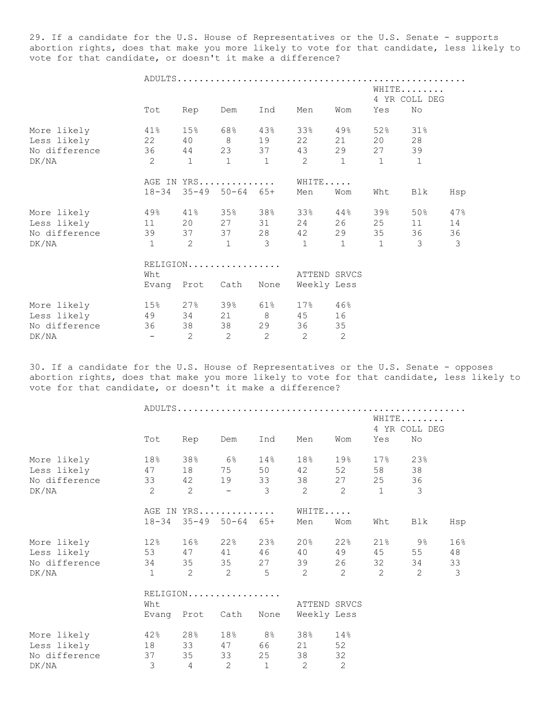29. If a candidate for the U.S. House of Representatives or the U.S. Senate - supports abortion rights, does that make you more likely to vote for that candidate, less likely to vote for that candidate, or doesn't it make a difference?

|               |                          | WHITE<br>4 YR COLL DEG |                       |                         |                |                   |              |               |               |
|---------------|--------------------------|------------------------|-----------------------|-------------------------|----------------|-------------------|--------------|---------------|---------------|
|               | Tot                      | Rep                    | Dem                   | Ind                     | Men            | Wom               | Yes          | No            |               |
| More likely   | 41%                      |                        | 15% 68% 43%           |                         | 33%            | 49%               | 52%          | 31%           |               |
| Less likely   | 22                       |                        | 40 8 19               |                         | 22             | 21                | 20           | 28            |               |
| No difference | 36                       |                        | 44 23 37              |                         | 43             |                   | 29 27        | 39            |               |
| DK/NA         | $\overline{2}$           | $\mathbf{1}$           | $\mathbf{1}$          | 1                       | $\overline{2}$ | $\mathbf{1}$      | $\mathbf{1}$ | 1             |               |
|               |                          | AGE IN YRS             |                       |                         |                |                   |              |               |               |
|               |                          |                        | 18-34 35-49 50-64 65+ |                         | Men            | Wom               | Wht          | Blk           | Hsp           |
| More likely   | 49%                      |                        | 41% 35%               | 38%                     | 33%            | $44\,$ $^{\circ}$ | 39%          | $50\%$        | 47%           |
| Less likely   | 11                       |                        | 20 27 31              |                         | 24             |                   | 26 25        | 11            | 14            |
| No difference | 39                       |                        | 37 37 28              |                         | 42             | 29                | 35           | 36            | 36            |
| DK/NA         | $\mathbf{1}$             | 2                      | $\overline{1}$        | $\overline{\mathbf{3}}$ | $\overline{1}$ | $\overline{1}$    | $\mathbf{1}$ | $\mathcal{S}$ | $\mathcal{S}$ |
|               | RELIGION                 |                        |                       |                         |                |                   |              |               |               |
|               | Wht                      |                        |                       |                         |                | ATTEND SRVCS      |              |               |               |
|               |                          | Evang Prot Cath        |                       | None                    | Weekly Less    |                   |              |               |               |
| More likely   | 15%                      |                        | 27% 39%               | 61%                     | $17\%$ 46%     |                   |              |               |               |
| Less likely   | 49                       |                        | 34 21 8               |                         | 45             | 16                |              |               |               |
| No difference | 36                       | 38                     |                       | 38 29                   | 36             | 35                |              |               |               |
| DK/NA         | $\overline{\phantom{a}}$ | 2                      | $\overline{2}$        | 2                       | 2              | $\overline{c}$    |              |               |               |

30. If a candidate for the U.S. House of Representatives or the U.S. Senate - opposes abortion rights, does that make you more likely to vote for that candidate, less likely to vote for that candidate, or doesn't it make a difference?

|                |                                   |                            |           |                   |                |                |                 | WHITE<br>4 YR COLL DEG |     |  |  |  |  |
|----------------|-----------------------------------|----------------------------|-----------|-------------------|----------------|----------------|-----------------|------------------------|-----|--|--|--|--|
|                | Tot                               | Rep                        | Dem       | Ind               | Men            | Wom            | Yes             | No                     |     |  |  |  |  |
| More likely    | 18%                               |                            | $38\%$ 6% | $14\,$ $^{\circ}$ | 18%            | 19%            | 17 <sup>8</sup> | 23%                    |     |  |  |  |  |
| Less likely 47 |                                   |                            |           | 18 75 50          | 42             | 52             | 58              | 38                     |     |  |  |  |  |
| No difference  | 33                                | 42                         |           | 19 33             | 38             | 27             | 25              | 36                     |     |  |  |  |  |
| DK/NA          | $\overline{2}$                    | 2                          | $\sim$    | 3                 | $\overline{2}$ | 2              | $\overline{1}$  | $\mathfrak{Z}$         |     |  |  |  |  |
|                |                                   | AGE IN YRS                 |           |                   | WHITE          |                |                 |                        |     |  |  |  |  |
|                | $18 - 34$                         | $35 - 49$ $50 - 64$ $65 +$ |           |                   | Men            | Wom            | Wht             | Blk                    | Hsp |  |  |  |  |
| More likely    | 12%                               |                            |           | 16% 22% 23%       | $20\%$         | 22%            | $21\%$ 9%       |                        | 16% |  |  |  |  |
| Less likely    |                                   |                            |           | 53 47 41 46 40    |                | 49             | 45              | 55                     | 48  |  |  |  |  |
| No difference  | 34                                | 35                         |           | 35 27             | 39             | 26             | 32              | 34                     | 33  |  |  |  |  |
| DK/NA          | $\begin{bmatrix} 1 \end{bmatrix}$ | $2 \t 2$                   |           | $5^{\circ}$       | $\overline{2}$ | $\overline{2}$ | 2               | 2                      | 3   |  |  |  |  |
|                | RELIGION                          |                            |           |                   |                |                |                 |                        |     |  |  |  |  |
|                | Wht                               |                            |           |                   | ATTEND SRVCS   |                |                 |                        |     |  |  |  |  |
|                |                                   | Evang Prot Cath            |           | None              | Weekly Less    |                |                 |                        |     |  |  |  |  |
| More likely    | 42%                               |                            |           | 28% 18% 8%        | 38%            | 14%            |                 |                        |     |  |  |  |  |
| Less likely    | 18                                |                            |           | 33 47 66 21       |                | 52             |                 |                        |     |  |  |  |  |
| No difference  | 37                                | 35                         |           | 33 25             | 38             | 32             |                 |                        |     |  |  |  |  |
| DK/NA          | 3                                 | $\overline{4}$             | 2         | $\mathbf{1}$      | 2              | 2              |                 |                        |     |  |  |  |  |